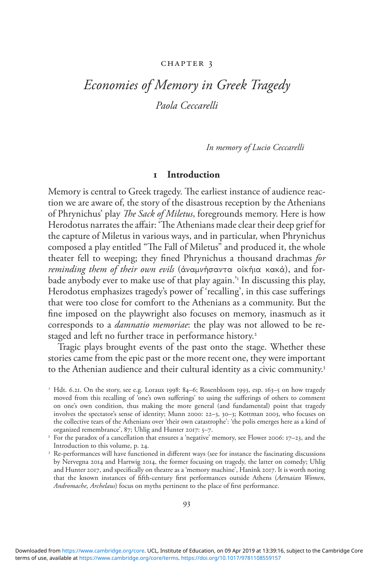#### CHAPTER 3

# *Economies of Memory in Greek Tragedy Paola Ceccarelli*

*In memory of Lucio Ceccarelli* 

#### **1 Introduction**

Memory is central to Greek tragedy. The earliest instance of audience reaction we are aware of, the story of the disastrous reception by the Athenians of Phrynichus' play *The Sack of Miletus*, foregrounds memory. Here is how Herodotus narrates the affair: 'The Athenians made clear their deep grief for the capture of Miletus in various ways, and in particular, when Phrynichus composed a play entitled "The Fall of Miletus" and produced it, the whole theater fell to weeping; they fined Phrynichus a thousand drachmas *for reminding them of their own evils* (άναμνήσαντα οἰκήια κακά), and forbade anybody ever to make use of that play again.'<sup>1</sup> In discussing this play, Herodotus emphasizes tragedy's power of 'recalling', in this case sufferings that were too close for comfort to the Athenians as a community. But the fine imposed on the playwright also focuses on memory, inasmuch as it corresponds to a *damnatio memoriae* : the play was not allowed to be restaged and left no further trace in performance history.<sup>2</sup>

 Tragic plays brought events of the past onto the stage. Whether these stories came from the epic past or the more recent one, they were important to the Athenian audience and their cultural identity as a civic community.<sup>3</sup>

Hdt. 6.21. On the story, see e.g. Loraux 1998: 84–6; Rosenbloom 1993, esp. 163–5 on how tragedy moved from this recalling of 'one's own sufferings' to using the sufferings of others to comment on one's own condition, thus making the more general (and fundamental) point that tragedy involves the spectator's sense of identity; Munn 2000: 22-3, 30-3; Kottman 2003, who focuses on the collective tears of the Athenians over 'their own catastrophe': 'the polis emerges here as a kind of organized remembrance', 87; Uhlig and Hunter 2017: 5-7.

<sup>&</sup>lt;sup>2</sup> For the paradox of a cancellation that ensures a 'negative' memory, see Flower 2006: 17–23, and the Introduction to this volume, p. 24.

<sup>&</sup>lt;sup>3</sup> Re-performances will have functioned in different ways (see for instance the fascinating discussions by Nervegna 2014 and Hartwig 2014 , the former focusing on tragedy, the latter on comedy; Uhlig and Hunter 2017, and specifically on theatre as a 'memory machine', Hanink 2017. It is worth noting that the known instances of fifth-century first performances outside Athens (Aetnaian Women, *Andromache*, *Archelaus*) focus on myths pertinent to the place of first performance.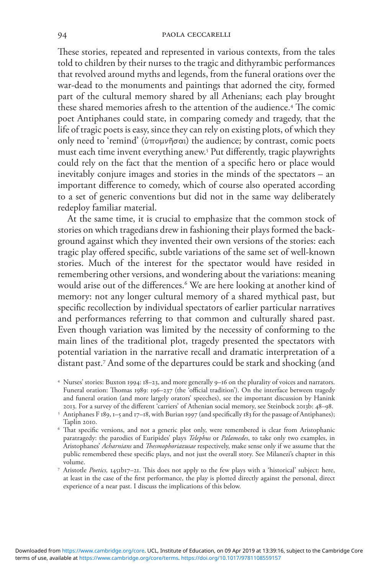These stories, repeated and represented in various contexts, from the tales told to children by their nurses to the tragic and dithyrambic performances that revolved around myths and legends, from the funeral orations over the war- dead to the monuments and paintings that adorned the city, formed part of the cultural memory shared by all Athenians; each play brought these shared memories afresh to the attention of the audience.<sup>4</sup> The comic poet Antiphanes could state, in comparing comedy and tragedy, that the life of tragic poets is easy, since they can rely on existing plots, of which they only need to 'remind' (ύπομνῆσαι) the audience; by contrast, comic poets must each time invent everything anew.<sup>5</sup> Put differently, tragic playwrights could rely on the fact that the mention of a specific hero or place would inevitably conjure images and stories in the minds of the spectators – an important difference to comedy, which of course also operated according to a set of generic conventions but did not in the same way deliberately redeploy familiar material.

 At the same time, it is crucial to emphasize that the common stock of stories on which tragedians drew in fashioning their plays formed the background against which they invented their own versions of the stories: each tragic play offered specific, subtle variations of the same set of well-known stories. Much of the interest for the spectator would have resided in remembering other versions, and wondering about the variations: meaning would arise out of the differences.<sup>6</sup> We are here looking at another kind of memory: not any longer cultural memory of a shared mythical past, but specific recollection by individual spectators of earlier particular narratives and performances referring to that common and culturally shared past. Even though variation was limited by the necessity of conforming to the main lines of the traditional plot, tragedy presented the spectators with potential variation in the narrative recall and dramatic interpretation of a distant past. 7 And some of the departures could be stark and shocking (and

<sup>4</sup> Nurses' stories: Buxton 1994 : 18– 23, and more generally 9– 16 on the plurality of voices and narrators. Funeral oration: Thomas 1989: 196-237 (the 'official tradition'). On the interface between tragedy and funeral oration (and more largely orators' speeches), see the important discussion by Hanink 2013. For a survey of the different 'carriers' of Athenian social memory, see Steinbock 2013b: 48-98.

<sup>&</sup>lt;sup>5</sup> Antiphanes F 189, 1-5 and 17-18, with Burian 1997 (and specifically 183 for the passage of Antiphanes); Taplin 2010.

<sup>&</sup>lt;sup>6</sup> That specific versions, and not a generic plot only, were remembered is clear from Aristophanic paratragedy: the parodies of Euripides' plays *Telephus* or *Palamedes*, to take only two examples, in Aristophanes' *Acharnians* and *Thesmophoriazusae* respectively, make sense only if we assume that the public remembered these specific plays, and not just the overall story. See Milanezi's chapter in this volume.

<sup>7</sup> Aristotle *Poetics,* 1451b17–21. This does not apply to the few plays with a 'historical' subject: here, at least in the case of the first performance, the play is plotted directly against the personal, direct experience of a near past. I discuss the implications of this below.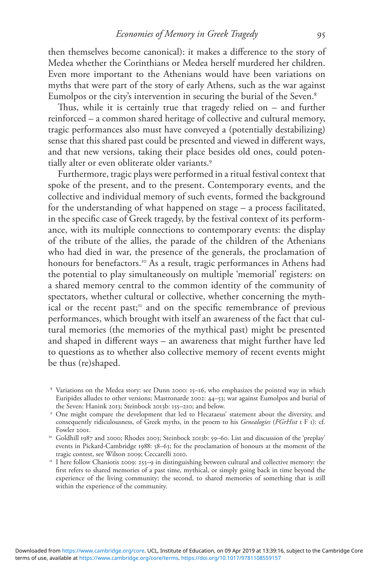then themselves become canonical): it makes a difference to the story of Medea whether the Corinthians or Medea herself murdered her children. Even more important to the Athenians would have been variations on myths that were part of the story of early Athens, such as the war against Eumolpos or the city's intervention in securing the burial of the Seven. 8

Thus, while it is certainly true that tragedy relied on  $-$  and further reinforced – a common shared heritage of collective and cultural memory, tragic performances also must have conveyed a (potentially destabilizing) sense that this shared past could be presented and viewed in different ways, and that new versions, taking their place besides old ones, could potentially alter or even obliterate older variants.<sup>9</sup>

 Furthermore, tragic plays were performed in a ritual festival context that spoke of the present, and to the present. Contemporary events, and the collective and individual memory of such events, formed the background for the understanding of what happened on stage – a process facilitated, in the specific case of Greek tragedy, by the festival context of its performance, with its multiple connections to contemporary events: the display of the tribute of the allies, the parade of the children of the Athenians who had died in war, the presence of the generals, the proclamation of honours for benefactors.<sup>10</sup> As a result, tragic performances in Athens had the potential to play simultaneously on multiple 'memorial' registers: on a shared memory central to the common identity of the community of spectators, whether cultural or collective, whether concerning the mythical or the recent past;<sup>11</sup> and on the specific remembrance of previous performances , which brought with itself an awareness of the fact that cultural memories (the memories of the mythical past) might be presented and shaped in different ways - an awareness that might further have led to questions as to whether also collective memory of recent events might be thus (re)shaped.

 $1$  I here follow Chaniotis 2009: 255–9 in distinguishing between cultural and collective memory: the first refers to shared memories of a past time, mythical, or simply going back in time beyond the experience of the living community; the second, to shared memories of something that is still within the experience of the community.

<sup>&</sup>lt;sup>8</sup> Variations on the Medea story: see Dunn 2000: 15-16, who emphasizes the pointed way in which Euripides alludes to other versions; Mastronarde 2002 : 44– 53; war against Eumolpos and burial of the Seven: Hanink 2013; Steinbock 2013b: 155-210; and below.

<sup>&</sup>lt;sup>9</sup> One might compare the development that led to Hecataeus' statement about the diversity, and consequently ridiculousness, of Greek myths, in the proem to his *Genealogies* (*FGrHist* 1 F 1): cf. Fowler 2001.

<sup>&</sup>lt;sup>10</sup> Goldhill 1987 and 2000; Rhodes 2003; Steinbock 2013b: 59–60. List and discussion of the 'preplay' events in Pickard-Cambridge 1988: 58–63; for the proclamation of honours at the moment of the tragic contest, see Wilson 2009; Ceccarelli 2010.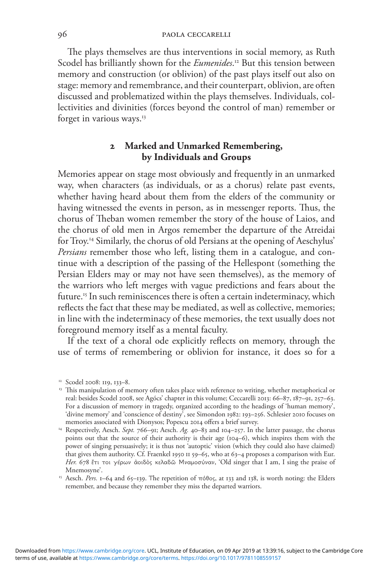The plays themselves are thus interventions in social memory, as Ruth Scodel has brilliantly shown for the *Eumenides*.<sup>12</sup> But this tension between memory and construction (or oblivion) of the past plays itself out also on stage: memory and remembrance, and their counterpart, oblivion, are often discussed and problematized within the plays themselves. Individuals , collectivities and divinities (forces beyond the control of man) remember or forget in various ways.<sup>13</sup>

## **2 Marked and Unmarked Remembering, by Individuals and Groups**

 Memories appear on stage most obviously and frequently in an unmarked way, when characters (as individuals, or as a chorus) relate past events, whether having heard about them from the elders of the community or having witnessed the events in person, as in messenger reports. Thus, the chorus of Theban women remember the story of the house of Laios, and the chorus of old men in Argos remember the departure of the Atreidai for Troy. 14 Similarly, the chorus of old Persians at the opening of Aeschylus' Persians remember those who left, listing them in a catalogue, and continue with a description of the passing of the Hellespont (something the Persian Elders may or may not have seen themselves), as the memory of the warriors who left merges with vague predictions and fears about the future.<sup>15</sup> In such reminiscences there is often a certain indeterminacy, which reflects the fact that these may be mediated, as well as collective, memories; in line with the indeterminacy of these memories, the text usually does not foreground memory itself as a mental faculty.

If the text of a choral ode explicitly reflects on memory, through the use of terms of remembering or oblivion for instance, it does so for a

<sup>&</sup>lt;sup>12</sup> Scodel 2008: 119, 133–8.

<sup>&</sup>lt;sup>13</sup> This manipulation of memory often takes place with reference to writing, whether metaphorical or real: besides Scodel 2008, see Agócs' chapter in this volume; Ceccarelli 2013: 66–87, 187–91, 257–63. For a discussion of memory in tragedy, organized according to the headings of 'human memory', 'divine memory' and 'conscience of destiny', see Simondon 1982: 193–256. Schlesier 2010 focuses on memories associated with Dionysos; Popescu 2014 offers a brief survey.

<sup>&</sup>lt;sup>14</sup> Respectively, Aesch. *Sept.* 766–91; Aesch. *Ag.* 40–83 and 104–257. In the latter passage, the chorus points out that the source of their authority is their age (104–6), which inspires them with the power of singing persuasively; it is thus not 'autoptic' vision (which they could also have claimed) that gives them authority. Cf. Fraenkel 1950 II 59-65, who at 63-4 proposes a comparison with Eur. *Her.* 678 ἔτι τοι γέρων ἀοιδὸς κελαδῶ Μναμοσύναν , 'Old singer that I am, I sing the praise of Mnemosyne'.

<sup>&</sup>lt;sup>15</sup> Aesch. *Pers.* 1–64 and 65–139. The repetition of πόθος, at 133 and 138, is worth noting: the Elders remember, and because they remember they miss the departed warriors.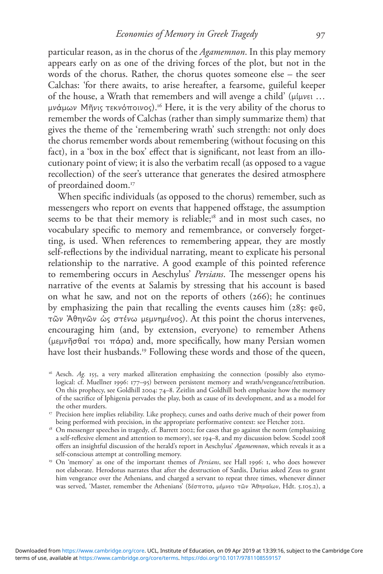particular reason, as in the chorus of the *Agamemnon* . In this play memory appears early on as one of the driving forces of the plot, but not in the words of the chorus. Rather, the chorus quotes someone else – the seer Calchas: 'for there awaits, to arise hereafter, a fearsome, guileful keeper of the house, a Wrath that remembers and will avenge a child' ( μίμνει … μνάμων Μῆνις τεκνόποινος).<sup>16</sup> Here, it is the very ability of the chorus to remember the words of Calchas (rather than simply summarize them) that gives the theme of the 'remembering wrath' such strength: not only does the chorus remember words about remembering (without focusing on this fact), in a 'box in the box' effect that is significant, not least from an illocutionary point of view; it is also the verbatim recall (as opposed to a vague recollection) of the seer's utterance that generates the desired atmosphere of preordained doom.<sup>17</sup>

When specific individuals (as opposed to the chorus) remember, such as messengers who report on events that happened offstage, the assumption seems to be that their memory is reliable;<sup>18</sup> and in most such cases, no vocabulary specific to memory and remembrance, or conversely forgetting, is used. When references to remembering appear, they are mostly self-reflections by the individual narrating, meant to explicate his personal relationship to the narrative. A good example of this pointed reference to remembering occurs in Aeschylus' *Persians*. The messenger opens his narrative of the events at Salamis by stressing that his account is based on what he saw, and not on the reports of others ( 266); he continues by emphasizing the pain that recalling the events causes him (285: φεῦ, τῶν Ἀθηνῶν ὡς στένω μεμνημένος ). At this point the chorus intervenes, encouraging him (and, by extension, everyone) to remember Athens (μεμνῆσθαί τοι πάρα) and, more specifically, how many Persian women have lost their husbands.<sup>19</sup> Following these words and those of the queen,

- <sup>16</sup> Aesch. *Ag.* 155, a very marked alliteration emphasizing the connection (possibly also etymological: cf. Muellner 1996: 177–95) between persistent memory and wrath/vengeance/retribution. On this prophecy, see Goldhill 2004: 74–8. Zeitlin and Goldhill both emphasize how the memory of the sacrifice of Iphigenia pervades the play, both as cause of its development, and as a model for the other murders.
- <sup>17</sup> Precision here implies reliability. Like prophecy, curses and oaths derive much of their power from being performed with precision, in the appropriate performative context: see Fletcher 2012.
- <sup>18</sup> On messenger speeches in tragedy, cf. Barrett 2002; for cases that go against the norm (emphasizing a self-reflexive element and attention to memory), see 194-8, and my discussion below. Scodel 2008 offers an insightful discussion of the herald's report in Aeschylus' *Agamemnon*, which reveals it as a self- conscious attempt at controlling memory.
- <sup>19</sup> On 'memory' as one of the important themes of *Persians*, see Hall 1996: 1, who does however not elaborate. Herodotus narrates that after the destruction of Sardis, Darius asked Zeus to grant him vengeance over the Athenians, and charged a servant to repeat three times, whenever dinner was served, 'Master, remember the Athenians' ( δέσποτα , μέμνεο τῶν Ἀθηναίων , Hdt. 5.105.2), a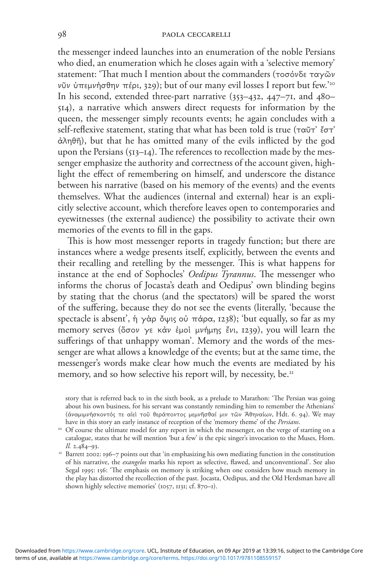the messenger indeed launches into an enumeration of the noble Persians who died, an enumeration which he closes again with a 'selective memory' statement: 'That much I mention about the commanders (τοσόνδε ταγῶν νῦν ὑπεμνήσθην πέρι, 329); but of our many evil losses I report but few.<sup>220</sup> In his second, extended three-part narrative  $(353-432, 447-71, 304480-$ 514), a narrative which answers direct requests for information by the queen, the messenger simply recounts events; he again concludes with a self- refl exive statement, stating that what has been told is true ( ταῦτ᾽ ἔστ᾽ ἀληθῆ), but that he has omitted many of the evils inflicted by the god upon the Persians  $(513-14)$ . The references to recollection made by the messenger emphasize the authority and correctness of the account given, highlight the effect of remembering on himself, and underscore the distance between his narrative (based on his memory of the events) and the events themselves. What the audiences (internal and external) hear is an explicitly selective account, which therefore leaves open to contemporaries and eyewitnesses (the external audience) the possibility to activate their own memories of the events to fill in the gaps.

This is how most messenger reports in tragedy function; but there are instances where a wedge presents itself, explicitly, between the events and their recalling and retelling by the messenger. This is what happens for instance at the end of Sophocles' *Oedipus Tyrannus*. The messenger who informs the chorus of Jocasta's death and Oedipus' own blinding begins by stating that the chorus (and the spectators) will be spared the worst of the suffering, because they do not see the events (literally, 'because the spectacle is absent', ή γὰρ ὄψις οὐ πάρα, 1238); 'but equally, so far as my memory serves ( ὅσον γε κἀν ἐμοὶ μνήμης ἔνι , 1239 ), you will learn the sufferings of that unhappy woman'. Memory and the words of the messenger are what allows a knowledge of the events; but at the same time, the messenger's words make clear how much the events are mediated by his memory, and so how selective his report will, by necessity, be.<sup>21</sup>

story that is referred back to in the sixth book, as a prelude to Marathon: 'The Persian was going about his own business, for his servant was constantly reminding him to remember the Athenians' ( ἀναμιμνήσκοντός τε αἰεὶ τοῦ θεράποντος μεμνῆσθαί μιν τῶν Ἀθηναίων , Hdt. 6. 94). We may have in this story an early instance of reception of the 'memory theme' of the *Persians* .

- <sup>20</sup> Of course the ultimate model for any report in which the messenger, on the verge of starting on a catalogue, states that he will mention 'but a few' is the epic singer's invocation to the Muses, Hom. *Il.* 2.484-93.
- <sup>21</sup> Barrett 2002: 196–7 points out that 'in emphasizing his own mediating function in the constitution of his narrative, the *exangelos* marks his report as selective, flawed, and unconventional'. See also Segal 1995: 156: 'The emphasis on memory is striking when one considers how much memory in the play has distorted the recollection of the past. Jocasta, Oedipus, and the Old Herdsman have all shown highly selective memories' (1057, 1131; cf. 870-1).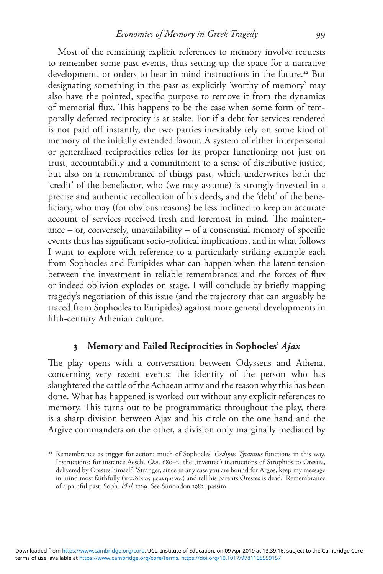Most of the remaining explicit references to memory involve requests to remember some past events, thus setting up the space for a narrative development, or orders to bear in mind instructions in the future.<sup>22</sup> But designating something in the past as explicitly 'worthy of memory' may also have the pointed, specific purpose to remove it from the dynamics of memorial flux. This happens to be the case when some form of temporally deferred reciprocity is at stake. For if a debt for services rendered is not paid off instantly, the two parties inevitably rely on some kind of memory of the initially extended favour. A system of either interpersonal or generalized reciprocities relies for its proper functioning not just on trust, accountability and a commitment to a sense of distributive justice, but also on a remembrance of things past, which underwrites both the 'credit' of the benefactor, who (we may assume) is strongly invested in a precise and authentic recollection of his deeds, and the 'debt' of the beneficiary, who may (for obvious reasons) be less inclined to keep an accurate account of services received fresh and foremost in mind. The maintenance – or, conversely, unavailability – of a consensual memory of specific events thus has significant socio-political implications, and in what follows I want to explore with reference to a particularly striking example each from Sophocles and Euripides what can happen when the latent tension between the investment in reliable remembrance and the forces of flux or indeed oblivion explodes on stage. I will conclude by briefly mapping tragedy's negotiation of this issue (and the trajectory that can arguably be traced from Sophocles to Euripides) against more general developments in fifth-century Athenian culture.

### **3 Memory and Failed Reciprocities in Sophocles'** *Ajax*

The play opens with a conversation between Odysseus and Athena, concerning very recent events: the identity of the person who has slaughtered the cattle of the Achaean army and the reason why this has been done. What has happened is worked out without any explicit references to memory. This turns out to be programmatic: throughout the play, there is a sharp division between Ajax and his circle on the one hand and the Argive commanders on the other, a division only marginally mediated by

 22 Remembrance as trigger for action: much of Sophocles' *Oedipus Tyrannus* functions in this way. Instructions: for instance Aesch. *Cho.* 680–2, the (invented) instructions of Strophios to Orestes, delivered by Orestes himself: 'Stranger, since in any case you are bound for Argos, keep my message in mind most faithfully (πανδίκως μεμνημένος) and tell his parents Orestes is dead.' Remembrance of a painful past: Soph. *Phil.* 1169. See Simondon 1982 , passim.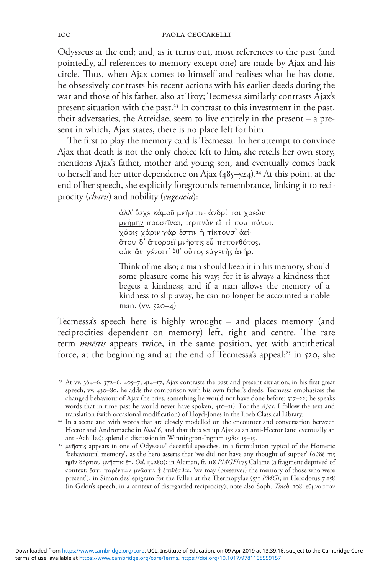Odysseus at the end; and, as it turns out, most references to the past (and pointedly, all references to memory except one) are made by Ajax and his circle. Thus, when Ajax comes to himself and realises what he has done, he obsessively contrasts his recent actions with his earlier deeds during the war and those of his father, also at Troy; Tecmessa similarly contrasts Ajax's present situation with the past. 23 In contrast to this investment in the past, their adversaries, the Atreidae, seem to live entirely in the present – a present in which, Ajax states, there is no place left for him.

The first to play the memory card is Tecmessa. In her attempt to convince Ajax that death is not the only choice left to him, she retells her own story, mentions Ajax's father, mother and young son, and eventually comes back to herself and her utter dependence on Ajax  $(485-524)$ .<sup>24</sup> At this point, at the end of her speech, she explicitly foregrounds remembrance, linking it to reciprocity (*charis*) and nobility (*eugeneia*):

> ἀλλ ' ἴσχε κἀμοῦ μνῆστιν · ἀνδρί τοι χρεὼν μνήμην προσεῖναι, τερπνὸν εἴ τί που πάθοι. χάρις χάριν γάρ ἐστιν ἡ τίκτουσ ' ἀεί · ὅτου δ ' ἀπορρεῖ μνῆστις εὖ πεπονθότος , οὐκ ἂν γένοιτ ' ἔθ ' οὗτος εὐγενὴς ἀνήρ .

Think of me also; a man should keep it in his memory, should some pleasure come his way; for it is always a kindness that begets a kindness; and if a man allows the memory of a kindness to slip away, he can no longer be accounted a noble man. (vv.  $520-4$ )

Tecmessa's speech here is highly wrought - and places memory (and reciprocities dependent on memory) left, right and centre. The rare term *mnēstis* appears twice, in the same position, yet with antithetical force, at the beginning and at the end of Tecmessa's appeal:<sup>25</sup> in 520, she

 $23$  At vv. 364–6, 372–6, 405–7, 414–17, Ajax contrasts the past and present situation; in his first great speech, vv. 430– 80, he adds the comparison with his own father's deeds. Tecmessa emphasizes the changed behaviour of Ajax (he cries, something he would not have done before: 317–22; he speaks words that in time past he would never have spoken, 410–11). For the *Ajax*, I follow the text and translation (with occasional modification) of Lloyd-Jones in the Loeb Classical Library.

<sup>&</sup>lt;sup>24</sup> In a scene and with words that are closely modelled on the encounter and conversation between Hector and Andromache in *Iliad* 6, and that thus set up Ajax as an anti- Hector (and eventually an anti-Achilles): splendid discussion in Winnington-Ingram 1980: 15-19.

<sup>&</sup>lt;sup>25</sup> μνῆστις appears in one of Odysseus' deceitful speeches, in a formulation typical of the Homeric 'behavioural memory', as the hero asserts that 'we did not have any thought of supper' ( οὐδέ τις ήμῖν δόρπου μνῆστις ἔη, *Od*. 13.280); in Alcman, fr. 118 *PMGF*/175 Calame (a fragment deprived of context: ἔστι παρέντων μνᾶστιν † ἐπιθέσθαι , 'we may (preserve?) the memory of those who were present'); in Simonides' epigram for the Fallen at the Thermopylae (531 *PMG*); in Herodotus 7.158 (in Gelon's speech, in a context of disregarded reciprocity); note also Soph. *Trach.* 108: εὔμναστον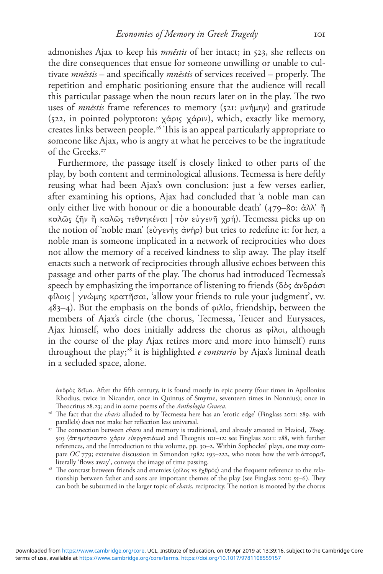admonishes Ajax to keep his *mnēstis* of her intact; in 523, she reflects on the dire consequences that ensue for someone unwilling or unable to cultivate *mnēstis* – and specifically *mnēstis* of services received – properly. The repetition and emphatic positioning ensure that the audience will recall this particular passage when the noun recurs later on in the play. The two uses of *mnēstis* frame references to memory (521: μνήμην) and gratitude ( 522, in pointed polyptoton: χάρις χάριν ), which, exactly like memory, creates links between people.<sup>26</sup> This is an appeal particularly appropriate to someone like Ajax, who is angry at what he perceives to be the ingratitude of the Greeks.<sup>27</sup>

 Furthermore, the passage itself is closely linked to other parts of the play, by both content and terminological allusions. Tecmessa is here deftly reusing what had been Ajax's own conclusion: just a few verses earlier, after examining his options, Ajax had concluded that 'a noble man can only either live with honour or die a honourable death' (479–80: ἀλλ' ἤ καλῶς ζῆν ἢ καλῶς τεθνηκέναι | τὸν εὐγενῆ χρή). Tecmessa picks up on the notion of 'noble man' (εὐγενὴς ἀνήρ) but tries to redefine it: for her, a noble man is someone implicated in a network of reciprocities who does not allow the memory of a received kindness to slip away. The play itself enacts such a network of reciprocities through allusive echoes between this passage and other parts of the play. The chorus had introduced Tecmessa's speech by emphasizing the importance of listening to friends (δὸς ἀνδράσι φίλοις | γνώμης κρατῆσαι , 'allow your friends to rule your judgment', vv.  $483-4$ ). But the emphasis on the bonds of φιλία, friendship, between the members of Ajax's circle (the chorus, Tecmessa, Teucer and Eurysaces, Ajax himself, who does initially address the chorus as φίλοι, although in the course of the play Ajax retires more and more into himself) runs throughout the play; 28 it is highlighted *e contrario* by Ajax's liminal death in a secluded space, alone.

ἀνδρὸς δεῖμα. After the fifth century, it is found mostly in epic poetry (four times in Apollonius Rhodius, twice in Nicander, once in Quintus of Smyrne, seventeen times in Nonnius); once in Theocritus 28.23; and in some poems of the *Anthologia Graeca*.

- <sup>27</sup> The connection between *charis* and memory is traditional, and already attested in Hesiod, *Theog.* 503 (άπεμνήσαντο χάριν εὐεργεσιάων) and Theognis 101-12: see Finglass 2011: 288, with further references, and the Introduction to this volume, pp. 30–2. Within Sophocles' plays, one may compare *OC* 779; extensive discussion in Simondon 1982: 193-222, who notes how the verb ἀπορρεῖ, literally 'flows away', conveys the image of time passing.
- <sup>28</sup> The contrast between friends and enemies (φίλος vs ἐχθρός) and the frequent reference to the relationship between father and sons are important themes of the play (see Finglass 2011:  $55-6$ ). They can both be subsumed in the larger topic of *charis*, reciprocity. The notion is mooted by the chorus

<sup>&</sup>lt;sup>26</sup> The fact that the *charis* alluded to by Tecmessa here has an 'erotic edge' (Finglass 2011: 289, with parallels) does not make her reflection less universal.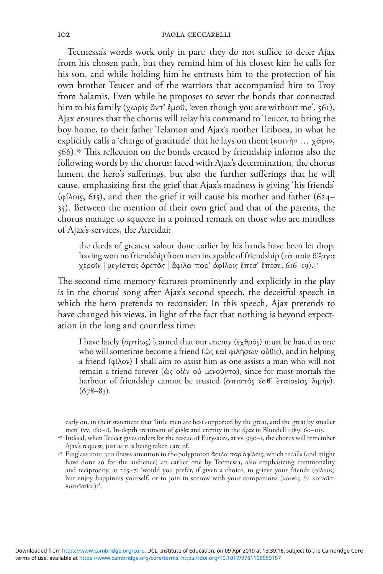Tecmessa's words work only in part: they do not suffice to deter Ajax from his chosen path, but they remind him of his closest kin: he calls for his son, and while holding him he entrusts him to the protection of his own brother Teucer and of the warriors that accompanied him to Troy from Salamis. Even while he proposes to sever the bonds that connected him to his family ( χωρὶς ὄντ᾽ ἐμοῦ , 'even though you are without me', 561), Ajax ensures that the chorus will relay his command to Teucer, to bring the boy home, to their father Telamon and Ajax's mother Eriboea, in what he explicitly calls a 'charge of gratitude' that he lays on them ( $\kappa$ οινὴν ... χάριν, 566).<sup>29</sup> This reflection on the bonds created by friendship informs also the following words by the chorus: faced with Ajax's determination, the chorus lament the hero's sufferings, but also the further sufferings that he will cause, emphasizing first the grief that Ajax's madness is giving 'his friends' ( $\phi$ ίλοις, 615), and then the grief it will cause his mother and father (624– 35). Between the mention of their own grief and that of the parents, the chorus manage to squeeze in a pointed remark on those who are mindless of Ajax's services, the Atreidai:

 the deeds of greatest valour done earlier by his hands have been let drop, having won no friendship from men incapable of friendship ( τὰ πρὶν δ᾽ἔργα χεροῖν | μεγίστας ἀρετᾶς | ἄφιλα παρ᾽ ἀφίλοις ἔπεσ᾽ ἔπεσε , 616– 19). 30

The second time memory features prominently and explicitly in the play is in the chorus' song after Ajax's second speech, the deceitful speech in which the hero pretends to reconsider. In this speech, Ajax pretends to have changed his views, in light of the fact that nothing is beyond expectation in the long and countless time:

I have lately (ἀρτίως) learned that our enemy (ἔχθρὸς) must be hated as one who will sometime become a friend (ώς καὶ φιλήσων αὖθις), and in helping a friend ( $\phi$ ίλον) I shall aim to assist him as one assists a man who will not remain a friend forever (ώς αἰὲν οὐ μενοῦντα), since for most mortals the harbour of friendship cannot be trusted (ἄπιστός ἔσθ' ἑταιρείας λιμήν).  $(678-83)$ .

early on, in their statement that 'little men are best supported by the great, and the great by smaller men' (vv. 160– 1). In- depth treatment of φιλία and enmity in the *Ajax* in Blundell 1989 : 60– 105.

<sup>29</sup> Indeed, when Teucer gives orders for the rescue of Eurysaces, at vv. 990-1, the chorus will remember Ajax's request, just as it is being taken care of.

<sup>&</sup>lt;sup>30</sup> Finglass 2011: 320 draws attention to the polyptoton ἄφιλα παρ'ἀφίλοις, which recalls (and might have done so for the audience) an earlier one by Tecmessa, also emphasizing commonality and reciprocity, at 265–7: 'would you prefer, if given a choice, to grieve your friends (φίλους) but enjoy happiness yourself, or to join in sorrow with your companions ( κοινὸς ἐν κοινοῖσι λυπεῖσθαι )?'.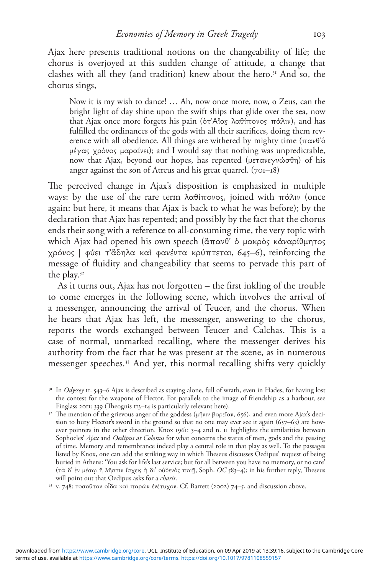Ajax here presents traditional notions on the changeability of life; the chorus is overjoyed at this sudden change of attitude, a change that clashes with all they (and tradition) knew about the hero.<sup>31</sup> And so, the chorus sings,

Now it is my wish to dance! ... Ah, now once more, now, o Zeus, can the bright light of day shine upon the swift ships that glide over the sea, now that Ajax once more forgets his pain ( ότ' Αΐας λαθίπονος πάλιν), and has fulfilled the ordinances of the gods with all their sacrifices, doing them reverence with all obedience. All things are withered by mighty time ( $πανθ<sup>3</sup>δ$ μέγας χρόνος μαραίνει); and I would say that nothing was unpredictable, now that Ajax, beyond our hopes, has repented (μετανεγνώσθη) of his anger against the son of Atreus and his great quarrel. (701-18)

The perceived change in Ajax's disposition is emphasized in multiple ways: by the use of the rare term λαθίπονος , joined with πάλιν (once again: but here, it means that Ajax is back to what he was before); by the declaration that Ajax has repented; and possibly by the fact that the chorus ends their song with a reference to all-consuming time, the very topic with which Ajax had opened his own speech (άπανθ' ὁ μακρὸς κἀναρίθμητος χρόνος | φύει τ᾽ἄδηλα καὶ φανέντα κρύπτεται , 645– 6), reinforcing the message of fluidity and changeability that seems to pervade this part of the play. $32$ 

As it turns out, Ajax has not forgotten  $-$  the first inkling of the trouble to come emerges in the following scene, which involves the arrival of a messenger, announcing the arrival of Teucer, and the chorus. When he hears that Ajax has left, the messenger, answering to the chorus, reports the words exchanged between Teucer and Calchas. This is a case of normal, unmarked recalling, where the messenger derives his authority from the fact that he was present at the scene, as in numerous messenger speeches.<sup>33</sup> And yet, this normal recalling shifts very quickly

<sup>&</sup>lt;sup>31</sup> In *Odyssey* 11. 543–6 Ajax is described as staying alone, full of wrath, even in Hades, for having lost the contest for the weapons of Hector. For parallels to the image of friendship as a harbour, see Finglass 2011: 339 (Theognis 113-14 is particularly relevant here).

<sup>&</sup>lt;sup>32</sup> The mention of the grievous anger of the goddess (μῆνιν βαρεῖαν, 656), and even more Ajax's decision to bury Hector's sword in the ground so that no one may ever see it again  $(657-63)$  are however pointers in the other direction. Knox 1961:  $3-4$  and n. 11 highlights the similarities between Sophocles' *Ajax* and *Oedipus at Colonus* for what concerns the status of men, gods and the passing of time. Memory and remembrance indeed play a central role in that play as well. To the passages listed by Knox, one can add the striking way in which Theseus discusses Oedipus' request of being buried in Athens: 'You ask for life's last service; but for all between you have no memory , or no care' ( τὰ δ ' ἐν μέσῳ ἢ λῆστιν ἴσχεις ἢ δι ' οὐδενὸς ποιῇ , Soph. *OC* 583– 4); in his further reply, Th eseus will point out that Oedipus asks for a *charis* .

<sup>33</sup> v. 748: τοσοῦτον οἶδα καὶ παρὼν ἐνέτυχον. Cf. Barrett (2002) 74-5, and discussion above.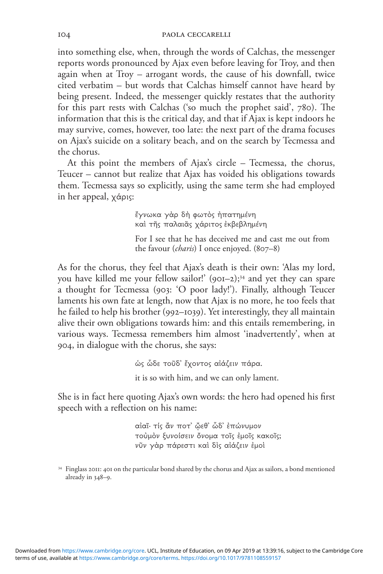into something else, when, through the words of Calchas, the messenger reports words pronounced by Ajax even before leaving for Troy, and then again when at Troy – arrogant words, the cause of his downfall, twice cited verbatim – but words that Calchas himself cannot have heard by being present. Indeed, the messenger quickly restates that the authority for this part rests with Calchas ('so much the prophet said', 780). The information that this is the critical day, and that if Ajax is kept indoors he may survive, comes, however, too late: the next part of the drama focuses on Ajax's suicide on a solitary beach, and on the search by Tecmessa and the chorus.

At this point the members of Ajax's circle – Tecmessa, the chorus, Teucer – cannot but realize that Ajax has voided his obligations towards them. Tecmessa says so explicitly, using the same term she had employed in her appeal, χάρις:

> ἔγνωκα γὰρ δὴ φωτὸς ἠπατημένη καὶ τῆς παλαιᾶς χάριτος ἐκβεβλημένη

 For I see that he has deceived me and cast me out from the favour (*charis*) I once enjoyed. (807–8)

 As for the chorus, they feel that Ajax's death is their own: 'Alas my lord, you have killed me your fellow sailor!' (901–2);<sup>34</sup> and yet they can spare a thought for Tecmessa (903: 'O poor lady!'). Finally, although Teucer laments his own fate at length, now that Ajax is no more, he too feels that he failed to help his brother (992–1039). Yet interestingly, they all maintain alive their own obligations towards him: and this entails remembering, in various ways. Tecmessa remembers him almost 'inadvertently', when at 904, in dialogue with the chorus, she says:

ὡς ὧδε τοῦδ᾽ ἔχοντος αἰάζειν πάρα .

it is so with him, and we can only lament.

She is in fact here quoting Ajax's own words: the hero had opened his first speech with a reflection on his name:

> αἰαῖ · τίς ἄν ποτ᾽ ᾤεθ᾽ ὧδ᾽ ἐπώνυμον τοὐμὸν ξυνοίσειν ὄνομα τοῖς ἐμοῖς κακοῖς ; νῦν γὰρ πάρεστι καὶ δὶς αἰάζειν ἐμοὶ

 34 Finglass 2011 : 401 on the particular bond shared by the chorus and Ajax as sailors, a bond mentioned already in  $348 - 9$ .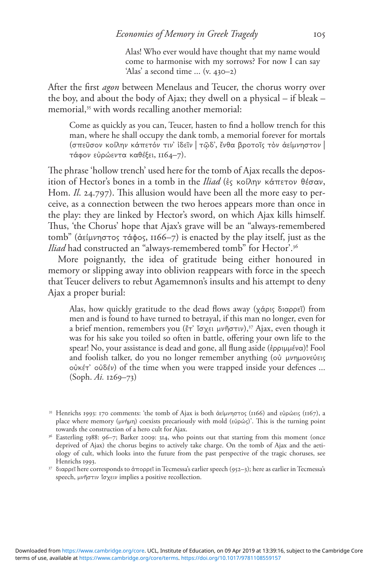Alas! Who ever would have thought that my name would come to harmonise with my sorrows? For now I can say 'Alas' a second time  $\ldots$  (v. 430–2)

After the first *agon* between Menelaus and Teucer, the chorus worry over the boy, and about the body of Ajax; they dwell on a physical – if bleak – memorial,<sup>35</sup> with words recalling another memorial:

Come as quickly as you can, Teucer, hasten to find a hollow trench for this man, where he shall occupy the dank tomb, a memorial forever for mortals ( σπεῦσον κοίλην κάπετόν τιν᾿ ἰδεῖν | τῷδ᾿ , ἔνθα βροτοῖς τὸν ἀείμνηστον | τάφον εὐρώεντα καθέξει, 1164-7).

The phrase 'hollow trench' used here for the tomb of Ajax recalls the deposition of Hector's bones in a tomb in the *Iliad* (ες κοίλην κάπετον θέσαν, Hom. *Il.* 24.797). This allusion would have been all the more easy to perceive, as a connection between the two heroes appears more than once in the play: they are linked by Hector's sword, on which Ajax kills himself. Thus, 'the Chorus' hope that Ajax's grave will be an "always-remembered tomb" ( $\alpha$ είμνηστος τάφος, 1166–7) is enacted by the play itself, just as the *Iliad* had constructed an "always-remembered tomb" for Hector'.<sup>36</sup>

 More poignantly, the idea of gratitude being either honoured in memory or slipping away into oblivion reappears with force in the speech that Teucer delivers to rebut Agamemnon's insults and his attempt to deny Ajax a proper burial:

Alas, how quickly gratitude to the dead flows away ( $\chi$ άρις διαρρεΐ) from men and is found to have turned to betrayal, if this man no longer, even for a brief mention, remembers you (ἔτ<sup>᠈</sup> ἴσχει μνῆστιν),<sup>37</sup> Ajax, even though it was for his sake you toiled so often in battle, offering your own life to the spear! No, your assistance is dead and gone, all flung aside (έρριμμένα)! Fool and foolish talker, do you no longer remember anything (οὐ μνημονεύεις οὐκέτ᾽ οὐδέν ) of the time when you were trapped inside your defences ... (Soph. *Ai*. 1269–73)

<sup>&</sup>lt;sup>35</sup> Henrichs 1993: 170 comments: 'the tomb of Ajax is both ἀείμνηστος (1166) and εὐρώεις (1167), a place where memory (μνήμη) coexists precariously with mold (εύρώς)'. This is the turning point towards the construction of a hero cult for Ajax.

<sup>&</sup>lt;sup>36</sup> Easterling 1988: 96–7; Barker 2009: 314, who points out that starting from this moment (once deprived of Ajax) the chorus begins to actively take charge. On the tomb of Ajax and the aetiology of cult, which looks into the future from the past perspective of the tragic choruses, see Henrichs 1993.

<sup>&</sup>lt;sup>37</sup> διαρρεῖ here corresponds to ἀπορρεῖ in Tecmessa's earlier speech (952–3); here as earlier in Tecmessa's speech, μνῆστιν ἴσχειν implies a positive recollection.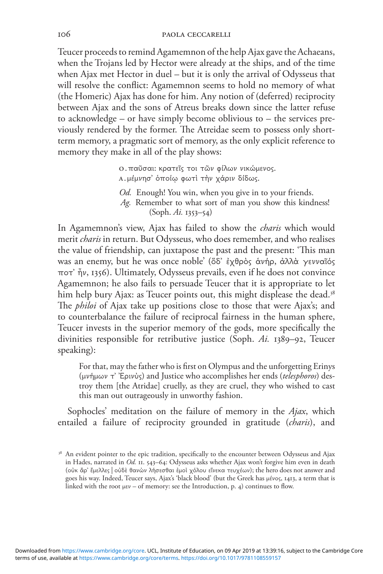Teucer proceeds to remind Agamemnon of the help Ajax gave the Achaeans, when the Trojans led by Hector were already at the ships, and of the time when Ajax met Hector in duel – but it is only the arrival of Odysseus that will resolve the conflict: Agamemnon seems to hold no memory of what (the Homeric) Ajax has done for him. Any notion of (deferred) reciprocity between Ajax and the sons of Atreus breaks down since the latter refuse to acknowledge – or have simply become oblivious to – the services previously rendered by the former. The Atreidae seem to possess only shortterm memory, a pragmatic sort of memory, as the only explicit reference to memory they make in all of the play shows:

> O. παῦσαι : κρατεῖς τοι τῶν φίλων νικώμενος . A. μέμνησ᾽ ὁποίῳ φωτὶ τὴν χάριν δίδως . *Od.* Enough! You win, when you give in to your friends.  *Ag.* Remember to what sort of man you show this kindness! ( Soph. *Ai.* 1353– 54)

In Agamemnon's view, Ajax has failed to show the *charis* which would merit *charis* in return. But Odysseus, who does remember, and who realises the value of friendship, can juxtapose the past and the present: 'This man was an enemy, but he was once noble' (ὅδ' ἐχθρὸς ἁνήρ, ἀλλὰ γενναῖός ποτ᾽ ἦν , 1356) . Ultimately, Odysseus prevails, even if he does not convince Agamemnon; he also fails to persuade Teucer that it is appropriate to let him help bury Ajax: as Teucer points out, this might displease the dead.<sup>38</sup> The *philoi* of Ajax take up positions close to those that were Ajax's; and to counterbalance the failure of reciprocal fairness in the human sphere, Teucer invests in the superior memory of the gods, more specifically the divinities responsible for retributive justice (Soph. Ai. 1389–92, Teucer speaking):

For that, may the father who is first on Olympus and the unforgetting Erinys (μνήμων τ᾿ Ἐρινὺς) and Justice who accomplishes her ends ( *telesphoros* ) destroy them [the Atridae] cruelly, as they are cruel, they who wished to cast this man out outrageously in unworthy fashion.

Sophocles' meditation on the failure of memory in the *Ajax*, which entailed a failure of reciprocity grounded in gratitude (*charis*), and

<sup>&</sup>lt;sup>38</sup> An evident pointer to the epic tradition, specifically to the encounter between Odysseus and Ajax in Hades, narrated in *Od.* 11. 543–64: Odysseus asks whether Ajax won't forgive him even in death ( οὐκ ἄρ᾽ ἔμελλες | οὐδὲ θανὼν λήσεσθαι ἐμοὶ χόλου εἵνεκα τευχέων ); the hero does not answer and goes his way. Indeed, Teucer says, Ajax's 'black blood' (but the Greek has μένος , 1413, a term that is linked with the root μεν – of memory: see the Introduction, p. 4) continues to flow.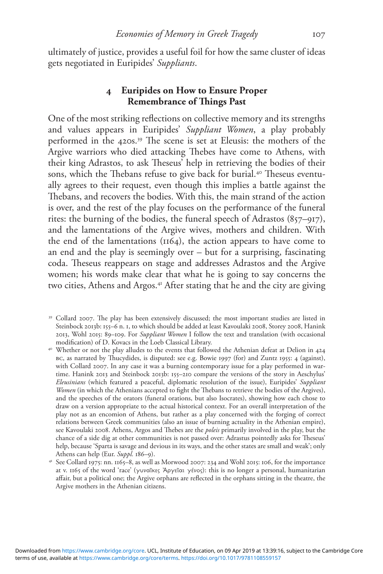ultimately of justice, provides a useful foil for how the same cluster of ideas gets negotiated in Euripides ' *Suppliants* .

## **4 Euripides on How to Ensure Proper Remembrance of Things Past**

One of the most striking reflections on collective memory and its strengths and values appears in Euripides' *Suppliant Women* , a play probably performed in the 420s.<sup>39</sup> The scene is set at Eleusis: the mothers of the Argive warriors who died attacking Thebes have come to Athens, with their king Adrastos, to ask Theseus' help in retrieving the bodies of their sons, which the Thebans refuse to give back for burial.<sup>40</sup> Theseus eventually agrees to their request, even though this implies a battle against the Thebans, and recovers the bodies. With this, the main strand of the action is over, and the rest of the play focuses on the performance of the funeral rites: the burning of the bodies, the funeral speech of Adrastos  $(857-917)$ , and the lamentations of the Argive wives, mothers and children. With the end of the lamentations  $(1164)$ , the action appears to have come to an end and the play is seemingly over – but for a surprising, fascinating coda. Theseus reappears on stage and addresses Adrastos and the Argive women; his words make clear that what he is going to say concerns the two cities, Athens and Argos.<sup>41</sup> After stating that he and the city are giving

<sup>&</sup>lt;sup>39</sup> Collard 2007. The play has been extensively discussed; the most important studies are listed in Steinbock 2013b: 155–6 n. 1, to which should be added at least Kavoulaki 2008, Storey 2008, Hanink 2013 , Wohl 2015 : 89– 109. For *Suppliant Women* I follow the text and translation (with occasional modification) of D. Kovacs in the Loeb Classical Library.

 40 Whether or not the play alludes to the events that followed the Athenian defeat at Delion in 424 BC, as narrated by Thucydides, is disputed: see e.g. Bowie 1997 (for) and Zuntz 1955: 4 (against), with Collard 2007 . In any case it was a burning contemporary issue for a play performed in wartime. Hanink 2013 and Steinbock 2013b: 155-210 compare the versions of the story in Aeschylus' *Eleusinians* (which featured a peaceful, diplomatic resolution of the issue), Euripides' *Suppliant Women* (in which the Athenians accepted to fight the Thebans to retrieve the bodies of the Argives), and the speeches of the orators (funeral orations, but also Isocrates), showing how each chose to draw on a version appropriate to the actual historical context. For an overall interpretation of the play not as an encomion of Athens, but rather as a play concerned with the forging of correct relations between Greek communities (also an issue of burning actuality in the Athenian empire), see Kavoulaki 2008. Athens, Argos and Thebes are the *poleis* primarily involved in the play, but the chance of a side dig at other communities is not passed over: Adrastus pointedly asks for Theseus' help, because 'Sparta is savage and devious in its ways, and the other states are small and weak'; only Athens can help (Eur. *Suppl.* 186–9).

 41 See Collard 1975 : nn. 1165– 8, as well as Morwood 2007 : 234 and Wohl 2015 : 106, for the importance at v. 1165 of the word 'race' ( γυναῖκες Ἀργεῖαι γένος ): this is no longer a personal, humanitarian affair, but a political one; the Argive orphans are reflected in the orphans sitting in the theatre, the Argive mothers in the Athenian citizens.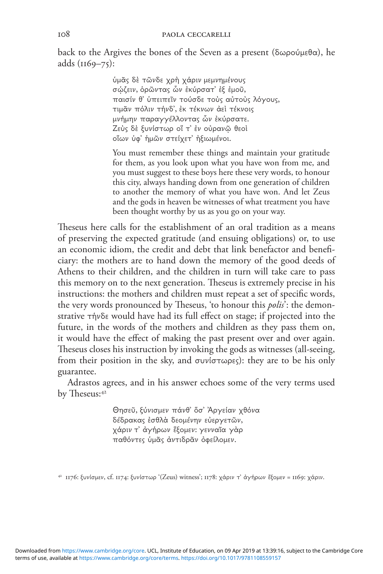back to the Argives the bones of the Seven as a present ( $\delta \omega \rho o \omega \mu \epsilon \theta \alpha$ ), he adds  $(1169 - 75)$ :

> ὑμᾶς δὲ τῶνδε χρὴ χάριν μεμνημένους σῴζειν , ὁρῶντας ὧν ἐκύρσατ᾽ ἐξ ἐμοῦ , παισίν θ᾽ ὑπειπεῖν τούσδε τοὺς αὐτοὺς λόγους , τιμᾶν πόλιν τήνδ᾽ , ἐκ τέκνων ἀεὶ τέκνοις μνήμην παραγγέλλοντας ὧν ἐκύρσατε . Ζεὺς δὲ ξυνίστωρ οἵ τ᾽ ἐν οὐρανῷ θεοὶ οἵων ὑφ᾽ ἡμῶν στείχετ᾽ ἠξιωμένοι .

 You must remember these things and maintain your gratitude for them, as you look upon what you have won from me, and you must suggest to these boys here these very words, to honour this city, always handing down from one generation of children to another the memory of what you have won. And let Zeus and the gods in heaven be witnesses of what treatment you have been thought worthy by us as you go on your way.

Theseus here calls for the establishment of an oral tradition as a means of preserving the expected gratitude (and ensuing obligations) or, to use an economic idiom, the credit and debt that link benefactor and beneficiary: the mothers are to hand down the memory of the good deeds of Athens to their children, and the children in turn will take care to pass this memory on to the next generation. Theseus is extremely precise in his instructions: the mothers and children must repeat a set of specific words, the very words pronounced by Theseus, 'to honour this *polis*': the demonstrative τήνδε would have had its full effect on stage; if projected into the future, in the words of the mothers and children as they pass them on, it would have the effect of making the past present over and over again. Theseus closes his instruction by invoking the gods as witnesses (all-seeing, from their position in the sky, and συνίστωρες ): they are to be his only guarantee.

 Adrastos agrees, and in his answer echoes some of the very terms used by Theseus:<sup>42</sup>

> Θησεῦ , ξύνισμεν πάνθ᾽ ὅσ᾽ Ἀργείαν χθόνα δέδρακας ἐσθλὰ δεομένην εὐεργετῶν , χάριν τ' άγήρων ἕξομεν: γενναΐα γάρ παθόντες ὑμᾶς ἀντιδρᾶν ὀφείλομεν .

42 1176: ξυνίσμεν , cf. 1174: ξυνίστωρ '(Zeus ) witness'; 1178: χάριν τ᾽ ἀγήρων ἔξομεν = 1169: χάριν .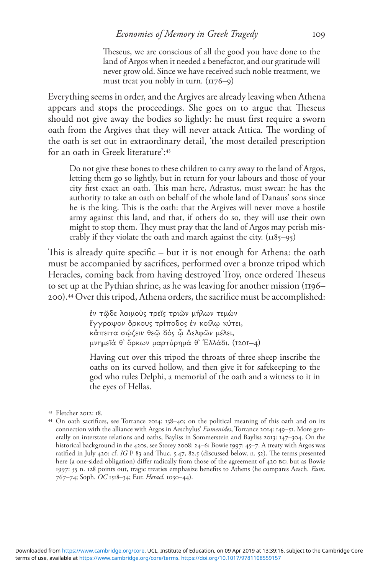Theseus, we are conscious of all the good you have done to the land of Argos when it needed a benefactor, and our gratitude will never grow old. Since we have received such noble treatment, we must treat you nobly in turn.  $(1176-9)$ 

 Everything seems in order, and the Argives are already leaving when Athena appears and stops the proceedings. She goes on to argue that Theseus should not give away the bodies so lightly: he must first require a sworn oath from the Argives that they will never attack Attica. The wording of the oath is set out in extraordinary detail, 'the most detailed prescription for an oath in Greek literature':<sup>43</sup>

 Do not give these bones to these children to carry away to the land of Argos, letting them go so lightly, but in return for your labours and those of your city first exact an oath. This man here, Adrastus, must swear: he has the authority to take an oath on behalf of the whole land of Danaus' sons since he is the king. This is the oath: that the Argives will never move a hostile army against this land, and that, if others do so, they will use their own might to stop them. They must pray that the land of Argos may perish miserably if they violate the oath and march against the city.  $(1185-95)$ 

This is already quite specific  $-$  but it is not enough for Athena: the oath must be accompanied by sacrifices, performed over a bronze tripod which Heracles, coming back from having destroyed Troy, once ordered Theseus to set up at the Pythian shrine, as he was leaving for another mission ( 1196– 200).<sup>44</sup> Over this tripod, Athena orders, the sacrifice must be accomplished:

> ἐν τῷδε λαιμοὺς τρεῖς τριῶν μήλων τεμὼν ἔγγραψον ὅρκους τρίποδος ἐν κοίλῳ κύτει , κάπειτα σώζειν θεφ δός φ Δελφων μέλει, μνημεῖά θ᾽ ὅρκων μαρτύρημά θ᾽ Ἑλλάδι . ( 1201– 4)

 Having cut over this tripod the throats of three sheep inscribe the oaths on its curved hollow, and then give it for safekeeping to the god who rules Delphi, a memorial of the oath and a witness to it in the eyes of Hellas.

 43 Fletcher 2012 : 18.

<sup>&</sup>lt;sup>44</sup> On oath sacrifices, see Torrance 2014: 138–40; on the political meaning of this oath and on its connection with the alliance with Argos in Aeschylus' *Eumenides*, Torrance 2014: 149–51. More generally on interstate relations and oaths, Bayliss in Sommerstein and Bayliss 2013 : 147– 304. On the historical background in the 420s, see Storey 2008: 24–6; Bowie 1997: 45–7. A treaty with Argos was ratified in July 420: cf. *IG* I<sup>3</sup> 83 and Thuc. 5.47, 82.5 (discussed below, n. 52). The terms presented here (a one-sided obligation) differ radically from those of the agreement of 420 BC; but as Bowie 1997: 55 n. 128 points out, tragic treaties emphasize benefits to Athens (he compares Aesch. *Eum*. 767– 74; Soph. *OC* 1518– 34; Eur. *Heracl* . 1030– 44).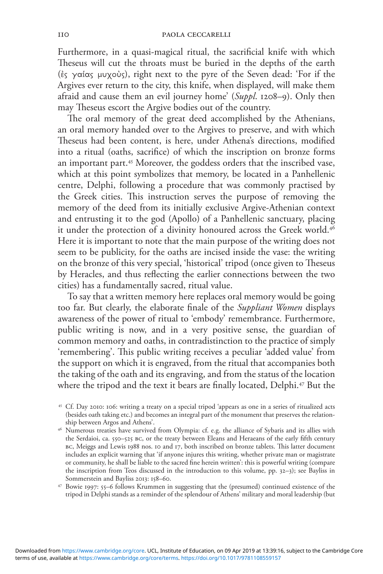Furthermore, in a quasi-magical ritual, the sacrificial knife with which Theseus will cut the throats must be buried in the depths of the earth ( ἐς γαίας μυχοὺς ), right next to the pyre of the Seven dead: 'For if the Argives ever return to the city, this knife, when displayed, will make them afraid and cause them an evil journey home' (*Suppl*. 1208–9). Only then may Theseus escort the Argive bodies out of the country.

The oral memory of the great deed accomplished by the Athenians, an oral memory handed over to the Argives to preserve, and with which Theseus had been content, is here, under Athena's directions, modified into a ritual (oaths, sacrifice) of which the inscription on bronze forms an important part.<sup>45</sup> Moreover, the goddess orders that the inscribed vase, which at this point symbolizes that memory, be located in a Panhellenic centre, Delphi, following a procedure that was commonly practised by the Greek cities. This instruction serves the purpose of removing the memory of the deed from its initially exclusive Argive- Athenian context and entrusting it to the god (Apollo) of a Panhellenic sanctuary, placing it under the protection of a divinity honoured across the Greek world.<sup>46</sup> Here it is important to note that the main purpose of the writing does not seem to be publicity, for the oaths are incised inside the vase: the writing on the bronze of this very special, 'historical' tripod (once given to Theseus by Heracles, and thus reflecting the earlier connections between the two cities) has a fundamentally sacred, ritual value.

 To say that a written memory here replaces oral memory would be going too far. But clearly, the elaborate finale of the *Suppliant Women* displays awareness of the power of ritual to 'embody' remembrance . Furthermore, public writing is now, and in a very positive sense, the guardian of common memory and oaths, in contradistinction to the practice of simply 'remembering'. This public writing receives a peculiar 'added value' from the support on which it is engraved, from the ritual that accompanies both the taking of the oath and its engraving, and from the status of the location where the tripod and the text it bears are finally located, Delphi.<sup>47</sup> But the

 45 Cf. Day 2010 : 106: writing a treaty on a special tripod 'appears as one in a series of ritualized acts (besides oath taking etc.) and becomes an integral part of the monument that preserves the relationship between Argos and Athens'.

 46 Numerous treaties have survived from Olympia: cf. e.g. the alliance of Sybaris and its allies with the Serdaioi, ca. 550-525 BC, or the treaty between Eleans and Heraeans of the early fifth century BC, Meiggs and Lewis 1988 nos. 10 and 17, both inscribed on bronze tablets. This latter document includes an explicit warning that 'if anyone injures this writing, whether private man or magistrate or community, he shall be liable to the sacred fine herein written': this is powerful writing (compare the inscription from Teos discussed in the introduction to this volume, pp. 32–3); see Bayliss in Sommerstein and Bayliss 2013: 158-60.

 47 Bowie 1997 : 55– 6 follows Krummen in suggesting that the (presumed) continued existence of the tripod in Delphi stands as a reminder of the splendour of Athens' military and moral leadership (but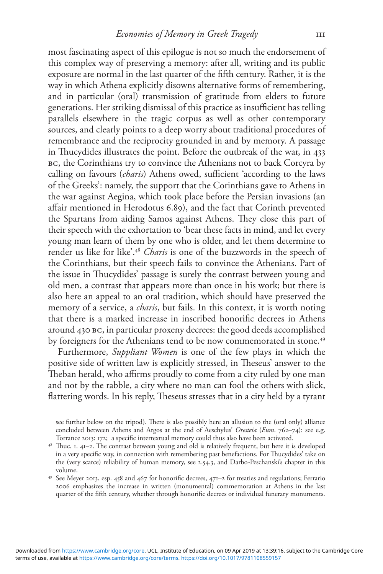most fascinating aspect of this epilogue is not so much the endorsement of this complex way of preserving a memory: after all, writing and its public exposure are normal in the last quarter of the fifth century. Rather, it is the way in which Athena explicitly disowns alternative forms of remembering, and in particular (oral) transmission of gratitude from elders to future generations. Her striking dismissal of this practice as insufficient has telling parallels elsewhere in the tragic corpus as well as other contemporary sources, and clearly points to a deep worry about traditional procedures of remembrance and the reciprocity grounded in and by memory . A passage in Thucydides illustrates the point. Before the outbreak of the war, in 433 BC, the Corinthians try to convince the Athenians not to back Corcyra by calling on favours *(charis)* Athens owed, sufficient 'according to the laws of the Greeks': namely, the support that the Corinthians gave to Athens in the war against Aegina, which took place before the Persian invasions (an affair mentioned in Herodotus 6.89), and the fact that Corinth prevented the Spartans from aiding Samos against Athens. They close this part of their speech with the exhortation to 'bear these facts in mind, and let every young man learn of them by one who is older, and let them determine to render us like for like'. 48 *Charis* is one of the buzzwords in the speech of the Corinthians, but their speech fails to convince the Athenians. Part of the issue in Thucydides' passage is surely the contrast between young and old men, a contrast that appears more than once in his work; but there is also here an appeal to an oral tradition, which should have preserved the memory of a service, a *charis*, but fails. In this context, it is worth noting that there is a marked increase in inscribed honorific decrees in Athens around 430 bc , in particular proxeny decrees: the good deeds accomplished by foreigners for the Athenians tend to be now commemorated in stone.<sup>49</sup>

 Furthermore, *Suppliant Women* is one of the few plays in which the positive side of written law is explicitly stressed, in Theseus' answer to the Theban herald, who affirms proudly to come from a city ruled by one man and not by the rabble, a city where no man can fool the others with slick, flattering words. In his reply, Theseus stresses that in a city held by a tyrant

see further below on the tripod). There is also possibly here an allusion to the (oral only) alliance concluded between Athens and Argos at the end of Aeschylus' *Oresteia* (*Eum.* 762–74): see e.g. Torrance 2013: 172; a specific intertextual memory could thus also have been activated.

<sup>48</sup> Thuc. 1. 41–2. The contrast between young and old is relatively frequent, but here it is developed in a very specific way, in connection with remembering past benefactions. For Thucydides' take on the (very scarce) reliability of human memory, see 2.54.3, and Darbo-Peschanski's chapter in this volume.

<sup>49</sup> See Meyer 2013, esp. 458 and 467 for honorific decrees, 471–2 for treaties and regulations; Ferrario 2006 emphasizes the increase in written (monumental) commemoration at Athens in the last quarter of the fifth century, whether through honorific decrees or individual funerary monuments.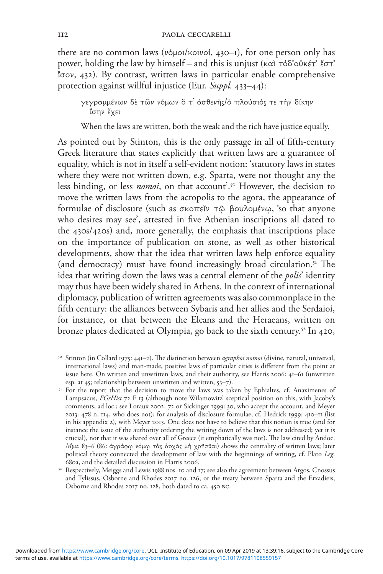there are no common laws ( $\nu$ όμοι/ $\kappa$ οινοί, 430–1), for one person only has power, holding the law by himself – and this is unjust ( καὶ τόδ᾽οὐκέτ᾽ ἔστ᾽ ἴσον , 432). By contrast, written laws in particular enable comprehensive protection against willful injustice (Eur. *Suppl.* 433–44):

γεγραμμένων δε τῶν νόμων ὅ τ' ἀσθενής/ό πλούσιός τε τήν δίκην ἴσην ἔχει

When the laws are written, both the weak and the rich have justice equally.

As pointed out by Stinton, this is the only passage in all of fifth-century Greek literature that states explicitly that written laws are a guarantee of equality, which is not in itself a self-evident notion: 'statutory laws in states where they were not written down, e.g. Sparta, were not thought any the less binding, or less *nomoi*, on that account'.<sup>50</sup> However, the decision to move the written laws from the acropolis to the agora, the appearance of formulae of disclosure (such as σκοπεῖν τῷ βουλομένῳ, 'so that anyone who desires may see', attested in five Athenian inscriptions all dated to the 430s/ 420s) and, more generally, the emphasis that inscriptions place on the importance of publication on stone, as well as other historical developments, show that the idea that written laws help enforce equality (and democracy) must have found increasingly broad circulation. $5<sup>T</sup>$  The idea that writing down the laws was a central element of the *polis* ' identity may thus have been widely shared in Athens. In the context of international diplomacy, publication of written agreements was also commonplace in the fifth century: the alliances between Sybaris and her allies and the Serdaioi, for instance, or that between the Eleans and the Heraeans, written on bronze plates dedicated at Olympia, go back to the sixth century.<sup>52</sup> In 420,

- <sup>50</sup> Stinton (in Collard 1975: 441-2). The distinction between *agraphoi nomoi* (divine, natural, universal, international laws) and man-made, positive laws of particular cities is different from the point at issue here. On written and unwritten laws, and their authority, see Harris 2006: 41-61 (unwritten esp. at 45; relationship between unwritten and written,  $53-7$ ).
- <sup>51</sup> For the report that the decision to move the laws was taken by Ephialtes, cf. Anaximenes of Lampsacus, *FGrHist* 72 F 13 (although note Wilamowitz' sceptical position on this, with Jacoby's comments, ad loc.; see Loraux 2002: 72 or Sickinger 1999: 30, who accept the account, and Meyer 2013 : 478 n. 114, who does not); for analysis of disclosure formulae, cf. Hedrick 1999 : 410– 11 (list in his appendix 2), with Meyer 2013 . One does not have to believe that this notion is true (and for instance the issue of the authority ordering the writing down of the laws is not addressed; yet it is crucial), nor that it was shared over all of Greece (it emphatically was not). The law cited by Andoc. *Myst.* 83– 6 (86: ἀγράφῳ νόμῳ τὰς ἀρχὰς μὴ χρῆσθαι ) shows the centrality of written laws; later political theory connected the development of law with the beginnings of writing, cf. Plato *Leg.* 680a, and the detailed discussion in Harris 2006 .
- 52 Respectively, Meiggs and Lewis 1988 nos. 10 and 17; see also the agreement between Argos, Cnossus and Tylissus, Osborne and Rhodes 2017 no. 126, or the treaty between Sparta and the Erxadieis, Osborne and Rhodes 2017 no. 128, both dated to ca. 450 bc .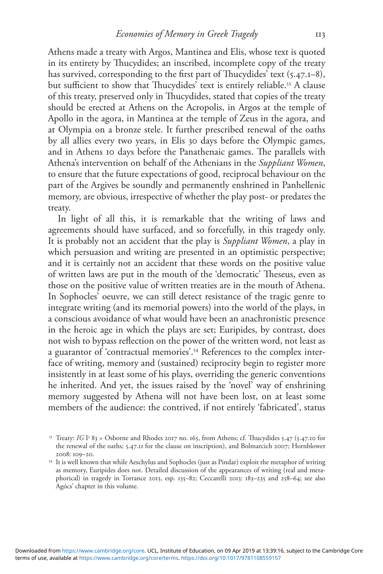Athens made a treaty with Argos, Mantinea and Elis, whose text is quoted in its entirety by Thucydides; an inscribed, incomplete copy of the treaty has survived, corresponding to the first part of Thucydides' text  $(5.47.1-8)$ , but sufficient to show that Thucydides' text is entirely reliable.<sup>53</sup> A clause of this treaty, preserved only in Thucydides, stated that copies of the treaty should be erected at Athens on the Acropolis, in Argos at the temple of Apollo in the agora, in Mantinea at the temple of Zeus in the agora, and at Olympia on a bronze stele . It further prescribed renewal of the oaths by all allies every two years, in Elis 30 days before the Olympic games, and in Athens 10 days before the Panathenaic games. The parallels with Athena's intervention on behalf of the Athenians in the *Suppliant Women*, to ensure that the future expectations of good, reciprocal behaviour on the part of the Argives be soundly and permanently enshrined in Panhellenic memory, are obvious, irrespective of whether the play post- or predates the treaty.

 In light of all this, it is remarkable that the writing of laws and agreements should have surfaced, and so forcefully, in this tragedy only. It is probably not an accident that the play is *Suppliant Women* , a play in which persuasion and writing are presented in an optimistic perspective; and it is certainly not an accident that these words on the positive value of written laws are put in the mouth of the 'democratic' Theseus, even as those on the positive value of written treaties are in the mouth of Athena. In Sophocles' oeuvre, we can still detect resistance of the tragic genre to integrate writing (and its memorial powers) into the world of the plays, in a conscious avoidance of what would have been an anachronistic presence in the heroic age in which the plays are set; Euripides, by contrast, does not wish to bypass reflection on the power of the written word, not least as a guarantor of 'contractual memories'.<sup>54</sup> References to the complex interface of writing, memory and (sustained) reciprocity begin to register more insistently in at least some of his plays, overriding the generic conventions he inherited. And yet, the issues raised by the 'novel' way of enshrining memory suggested by Athena will not have been lost, on at least some members of the audience: the contrived, if not entirely 'fabricated', status

<sup>&</sup>lt;sup>53</sup> Treaty: *IG* I<sup>3</sup> 83 = Osborne and Rhodes 2017 no. 165, from Athens; cf. Thucydides 5.47 (5.47.10 for the renewal of the oaths; 5.47.11 for the clause on inscription), and Bolmarcich 2007; Hornblower 2008: 109-20.

<sup>54</sup> It is well known that while Aeschylus and Sophocles (just as Pindar) exploit the metaphor of writing as memory, Euripides does not. Detailed discussion of the appearances of writing (real and metaphorical) in tragedy in Torrance 2013, esp. 135–82; Ceccarelli 2013: 183–235 and 258–64; see also Agócs' chapter in this volume.